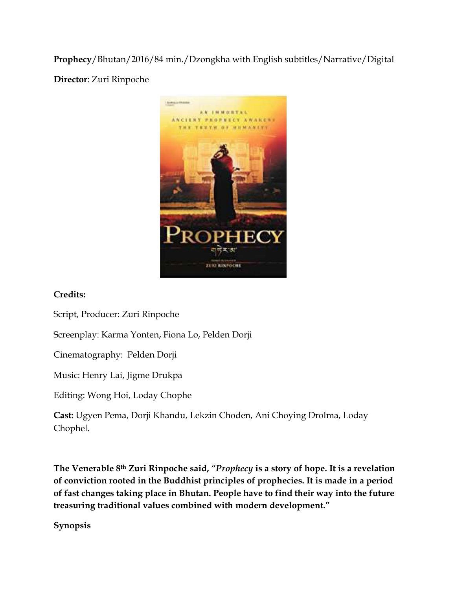**Prophecy**/Bhutan/2016/84 min./Dzongkha with English subtitles/Narrative/Digital

**Director**: Zuri Rinpoche



## **Credits:**

Script, Producer: Zuri Rinpoche

Screenplay: Karma Yonten, Fiona Lo, Pelden Dorji

Cinematography: Pelden Dorji

Music: Henry Lai, Jigme Drukpa

Editing: Wong Hoi, Loday Chophe

**Cast:** Ugyen Pema, Dorji Khandu, Lekzin Choden, Ani Choying Drolma, Loday Chophel.

**The Venerable 8th Zuri Rinpoche said, "***Prophecy* **is a story of hope. It is a revelation of conviction rooted in the Buddhist principles of prophecies. It is made in a period of fast changes taking place in Bhutan. People have to find their way into the future treasuring traditional values combined with modern development."** 

**Synopsis**